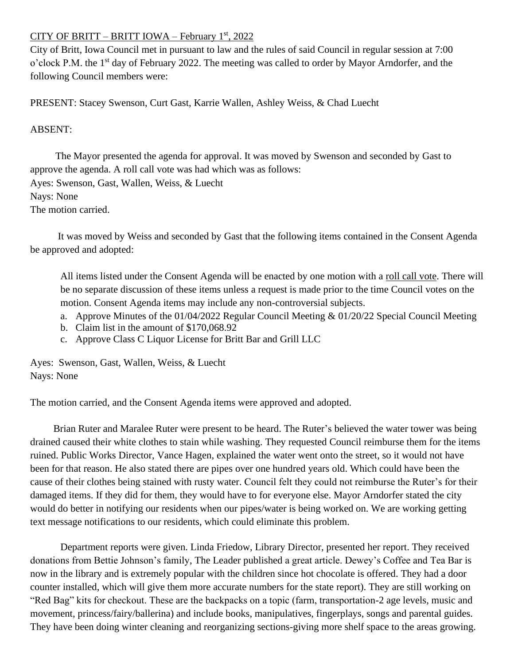## CITY OF BRITT – BRITT IOWA – February 1<sup>st</sup>, 2022

City of Britt, Iowa Council met in pursuant to law and the rules of said Council in regular session at 7:00 o'clock P.M. the 1<sup>st</sup> day of February 2022. The meeting was called to order by Mayor Arndorfer, and the following Council members were:

PRESENT: Stacey Swenson, Curt Gast, Karrie Wallen, Ashley Weiss, & Chad Luecht

## ABSENT:

 The Mayor presented the agenda for approval. It was moved by Swenson and seconded by Gast to approve the agenda. A roll call vote was had which was as follows: Ayes: Swenson, Gast, Wallen, Weiss, & Luecht Nays: None The motion carried.

 It was moved by Weiss and seconded by Gast that the following items contained in the Consent Agenda be approved and adopted:

All items listed under the Consent Agenda will be enacted by one motion with a roll call vote. There will be no separate discussion of these items unless a request is made prior to the time Council votes on the motion. Consent Agenda items may include any non-controversial subjects.

- a. Approve Minutes of the 01/04/2022 Regular Council Meeting & 01/20/22 Special Council Meeting
- b. Claim list in the amount of \$170,068.92
- c. Approve Class C Liquor License for Britt Bar and Grill LLC

Ayes: Swenson, Gast, Wallen, Weiss, & Luecht Nays: None

The motion carried, and the Consent Agenda items were approved and adopted.

 Brian Ruter and Maralee Ruter were present to be heard. The Ruter's believed the water tower was being drained caused their white clothes to stain while washing. They requested Council reimburse them for the items ruined. Public Works Director, Vance Hagen, explained the water went onto the street, so it would not have been for that reason. He also stated there are pipes over one hundred years old. Which could have been the cause of their clothes being stained with rusty water. Council felt they could not reimburse the Ruter's for their damaged items. If they did for them, they would have to for everyone else. Mayor Arndorfer stated the city would do better in notifying our residents when our pipes/water is being worked on. We are working getting text message notifications to our residents, which could eliminate this problem.

Department reports were given. Linda Friedow, Library Director, presented her report. They received donations from Bettie Johnson's family, The Leader published a great article. Dewey's Coffee and Tea Bar is now in the library and is extremely popular with the children since hot chocolate is offered. They had a door counter installed, which will give them more accurate numbers for the state report). They are still working on "Red Bag" kits for checkout. These are the backpacks on a topic (farm, transportation-2 age levels, music and movement, princess/fairy/ballerina) and include books, manipulatives, fingerplays, songs and parental guides. They have been doing winter cleaning and reorganizing sections-giving more shelf space to the areas growing.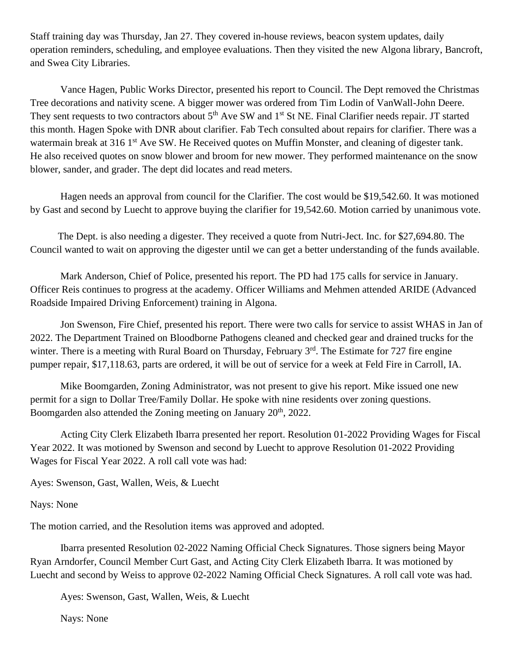Staff training day was Thursday, Jan 27. They covered in-house reviews, beacon system updates, daily operation reminders, scheduling, and employee evaluations. Then they visited the new Algona library, Bancroft, and Swea City Libraries.

 Vance Hagen, Public Works Director, presented his report to Council. The Dept removed the Christmas Tree decorations and nativity scene. A bigger mower was ordered from Tim Lodin of VanWall-John Deere. They sent requests to two contractors about 5<sup>th</sup> Ave SW and 1<sup>st</sup> St NE. Final Clarifier needs repair. JT started this month. Hagen Spoke with DNR about clarifier. Fab Tech consulted about repairs for clarifier. There was a watermain break at 316 1<sup>st</sup> Ave SW. He Received quotes on Muffin Monster, and cleaning of digester tank. He also received quotes on snow blower and broom for new mower. They performed maintenance on the snow blower, sander, and grader. The dept did locates and read meters.

 Hagen needs an approval from council for the Clarifier. The cost would be \$19,542.60. It was motioned by Gast and second by Luecht to approve buying the clarifier for 19,542.60. Motion carried by unanimous vote.

 The Dept. is also needing a digester. They received a quote from Nutri-Ject. Inc. for \$27,694.80. The Council wanted to wait on approving the digester until we can get a better understanding of the funds available.

Mark Anderson, Chief of Police, presented his report. The PD had 175 calls for service in January. Officer Reis continues to progress at the academy. Officer Williams and Mehmen attended ARIDE (Advanced Roadside Impaired Driving Enforcement) training in Algona.

Jon Swenson, Fire Chief, presented his report. There were two calls for service to assist WHAS in Jan of 2022. The Department Trained on Bloodborne Pathogens cleaned and checked gear and drained trucks for the winter. There is a meeting with Rural Board on Thursday, February 3<sup>rd</sup>. The Estimate for 727 fire engine pumper repair, \$17,118.63, parts are ordered, it will be out of service for a week at Feld Fire in Carroll, IA.

Mike Boomgarden, Zoning Administrator, was not present to give his report. Mike issued one new permit for a sign to Dollar Tree/Family Dollar. He spoke with nine residents over zoning questions. Boomgarden also attended the Zoning meeting on January 20<sup>th</sup>, 2022.

Acting City Clerk Elizabeth Ibarra presented her report. Resolution 01-2022 Providing Wages for Fiscal Year 2022. It was motioned by Swenson and second by Luecht to approve Resolution 01-2022 Providing Wages for Fiscal Year 2022. A roll call vote was had:

Ayes: Swenson, Gast, Wallen, Weis, & Luecht

## Nays: None

The motion carried, and the Resolution items was approved and adopted.

Ibarra presented Resolution 02-2022 Naming Official Check Signatures. Those signers being Mayor Ryan Arndorfer, Council Member Curt Gast, and Acting City Clerk Elizabeth Ibarra. It was motioned by Luecht and second by Weiss to approve 02-2022 Naming Official Check Signatures. A roll call vote was had.

Ayes: Swenson, Gast, Wallen, Weis, & Luecht

Nays: None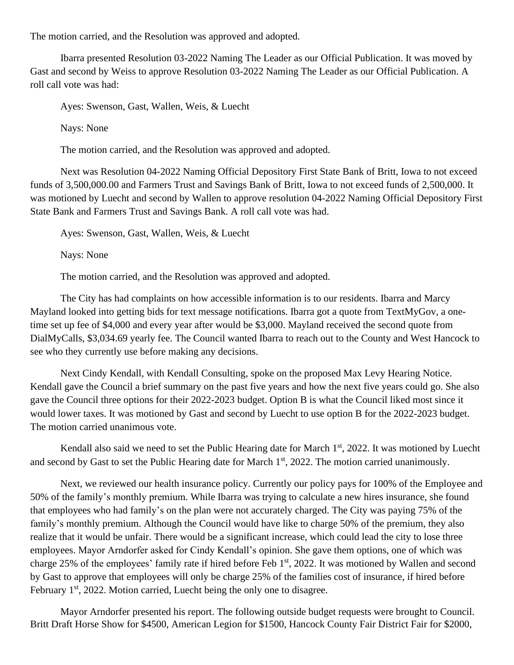The motion carried, and the Resolution was approved and adopted.

Ibarra presented Resolution 03-2022 Naming The Leader as our Official Publication. It was moved by Gast and second by Weiss to approve Resolution 03-2022 Naming The Leader as our Official Publication. A roll call vote was had:

Ayes: Swenson, Gast, Wallen, Weis, & Luecht

Nays: None

The motion carried, and the Resolution was approved and adopted.

Next was Resolution 04-2022 Naming Official Depository First State Bank of Britt, Iowa to not exceed funds of 3,500,000.00 and Farmers Trust and Savings Bank of Britt, Iowa to not exceed funds of 2,500,000. It was motioned by Luecht and second by Wallen to approve resolution 04-2022 Naming Official Depository First State Bank and Farmers Trust and Savings Bank. A roll call vote was had.

Ayes: Swenson, Gast, Wallen, Weis, & Luecht

Nays: None

The motion carried, and the Resolution was approved and adopted.

The City has had complaints on how accessible information is to our residents. Ibarra and Marcy Mayland looked into getting bids for text message notifications. Ibarra got a quote from TextMyGov, a onetime set up fee of \$4,000 and every year after would be \$3,000. Mayland received the second quote from DialMyCalls, \$3,034.69 yearly fee. The Council wanted Ibarra to reach out to the County and West Hancock to see who they currently use before making any decisions.

Next Cindy Kendall, with Kendall Consulting, spoke on the proposed Max Levy Hearing Notice. Kendall gave the Council a brief summary on the past five years and how the next five years could go. She also gave the Council three options for their 2022-2023 budget. Option B is what the Council liked most since it would lower taxes. It was motioned by Gast and second by Luecht to use option B for the 2022-2023 budget. The motion carried unanimous vote.

Kendall also said we need to set the Public Hearing date for March 1<sup>st</sup>, 2022. It was motioned by Luecht and second by Gast to set the Public Hearing date for March 1<sup>st</sup>, 2022. The motion carried unanimously.

Next, we reviewed our health insurance policy. Currently our policy pays for 100% of the Employee and 50% of the family's monthly premium. While Ibarra was trying to calculate a new hires insurance, she found that employees who had family's on the plan were not accurately charged. The City was paying 75% of the family's monthly premium. Although the Council would have like to charge 50% of the premium, they also realize that it would be unfair. There would be a significant increase, which could lead the city to lose three employees. Mayor Arndorfer asked for Cindy Kendall's opinion. She gave them options, one of which was charge 25% of the employees' family rate if hired before Feb 1<sup>st</sup>, 2022. It was motioned by Wallen and second by Gast to approve that employees will only be charge 25% of the families cost of insurance, if hired before February  $1<sup>st</sup>$ , 2022. Motion carried, Luecht being the only one to disagree.

 Mayor Arndorfer presented his report. The following outside budget requests were brought to Council. Britt Draft Horse Show for \$4500, American Legion for \$1500, Hancock County Fair District Fair for \$2000,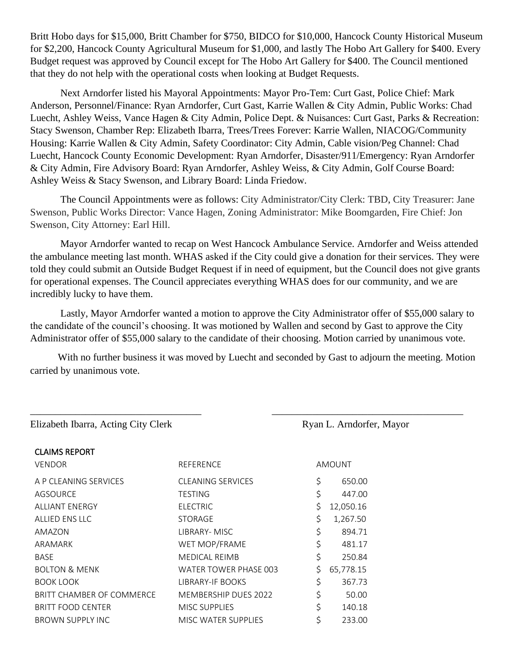Britt Hobo days for \$15,000, Britt Chamber for \$750, BIDCO for \$10,000, Hancock County Historical Museum for \$2,200, Hancock County Agricultural Museum for \$1,000, and lastly The Hobo Art Gallery for \$400. Every Budget request was approved by Council except for The Hobo Art Gallery for \$400. The Council mentioned that they do not help with the operational costs when looking at Budget Requests.

Next Arndorfer listed his Mayoral Appointments: Mayor Pro-Tem: Curt Gast, Police Chief: Mark Anderson, Personnel/Finance: Ryan Arndorfer, Curt Gast, Karrie Wallen & City Admin, Public Works: Chad Luecht, Ashley Weiss, Vance Hagen & City Admin, Police Dept. & Nuisances: Curt Gast, Parks & Recreation: Stacy Swenson, Chamber Rep: Elizabeth Ibarra, Trees/Trees Forever: Karrie Wallen, NIACOG/Community Housing: Karrie Wallen & City Admin, Safety Coordinator: City Admin, Cable vision/Peg Channel: Chad Luecht, Hancock County Economic Development: Ryan Arndorfer, Disaster/911/Emergency: Ryan Arndorfer & City Admin, Fire Advisory Board: Ryan Arndorfer, Ashley Weiss, & City Admin, Golf Course Board: Ashley Weiss & Stacy Swenson, and Library Board: Linda Friedow.

The Council Appointments were as follows: City Administrator/City Clerk: TBD, City Treasurer: Jane Swenson, Public Works Director: Vance Hagen, Zoning Administrator: Mike Boomgarden, Fire Chief: Jon Swenson, City Attorney: Earl Hill.

Mayor Arndorfer wanted to recap on West Hancock Ambulance Service. Arndorfer and Weiss attended the ambulance meeting last month. WHAS asked if the City could give a donation for their services. They were told they could submit an Outside Budget Request if in need of equipment, but the Council does not give grants for operational expenses. The Council appreciates everything WHAS does for our community, and we are incredibly lucky to have them.

Lastly, Mayor Arndorfer wanted a motion to approve the City Administrator offer of \$55,000 salary to the candidate of the council's choosing. It was motioned by Wallen and second by Gast to approve the City Administrator offer of \$55,000 salary to the candidate of their choosing. Motion carried by unanimous vote.

 With no further business it was moved by Luecht and seconded by Gast to adjourn the meeting. Motion carried by unanimous vote.

\_\_\_\_\_\_\_\_\_\_\_\_\_\_\_\_\_\_\_\_\_\_\_\_\_\_\_\_\_\_\_\_\_\_ \_\_\_\_\_\_\_\_\_\_\_\_\_\_\_\_\_\_\_\_\_\_\_\_\_\_\_\_\_\_\_\_\_\_\_\_\_\_

Elizabeth Ibarra, Acting City Clerk Ryan L. Arndorfer, Mayor

| <b>CLAIMS REPORT</b>      |                             |               |           |
|---------------------------|-----------------------------|---------------|-----------|
| <b>VENDOR</b>             | REFERENCE                   | <b>AMOUNT</b> |           |
| A P CLEANING SERVICES     | <b>CLEANING SERVICES</b>    | \$            | 650.00    |
| AGSOURCE                  | <b>TESTING</b>              | \$            | 447.00    |
| <b>ALLIANT ENERGY</b>     | <b>ELECTRIC</b>             | \$            | 12,050.16 |
| ALLIED ENS LLC            | <b>STORAGE</b>              | \$            | 1,267.50  |
| AMAZON                    | LIBRARY- MISC               | \$            | 894.71    |
| ARAMARK                   | WET MOP/FRAME               | \$            | 481.17    |
| <b>BASE</b>               | <b>MEDICAL REIMB</b>        | \$            | 250.84    |
| <b>BOLTON &amp; MENK</b>  | WATER TOWER PHASE 003       | \$            | 65,778.15 |
| <b>BOOK LOOK</b>          | <b>LIBRARY-IF BOOKS</b>     | \$            | 367.73    |
| BRITT CHAMBER OF COMMERCE | <b>MEMBERSHIP DUES 2022</b> | \$            | 50.00     |
| <b>BRITT FOOD CENTER</b>  | <b>MISC SUPPLIES</b>        | \$            | 140.18    |
| <b>BROWN SUPPLY INC</b>   | <b>MISC WATER SUPPLIES</b>  |               | 233.00    |
|                           |                             |               |           |